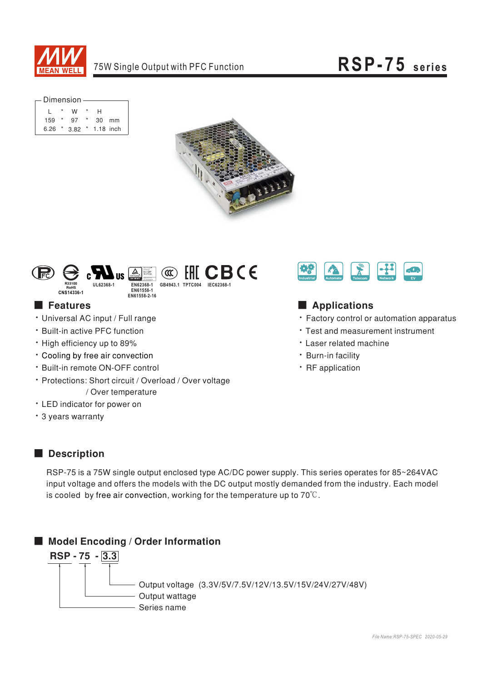

| – Dimension |  |      |               |               |    |  |  |  |  |  |  |  |
|-------------|--|------|---------------|---------------|----|--|--|--|--|--|--|--|
|             |  |      |               |               |    |  |  |  |  |  |  |  |
|             |  | w    |               | н             |    |  |  |  |  |  |  |  |
| $159$ *     |  | 97   | $\rightarrow$ | 30            | mm |  |  |  |  |  |  |  |
| 6.26        |  | 3.82 |               | $*$ 1.18 inch |    |  |  |  |  |  |  |  |





## **Features**

- · Universal AC input / Full range
- · Built-in active PFC function
- High efficiency up to 89%
- \* Cooling by free air convection
- \* Built-in remote ON-OFF control
- · Protections: Short circuit / Overload / Over voltage / Over temperature
- LED indicator for power on
- \* 3 years warranty



# Applications

- Factory control or automation apparatus
- Test and measurement instrument
- **· Laser related machine**
- · Burn-in facility
- · RF application

#### Description

RSP-75 is a 75W single output enclosed type AC/DC power supply. This series operates for 85~264VAC input voltage and offers the models with the DC output mostly demanded from the industry. Each model is cooled by free air convection, working for the temperature up to  $70^{\circ}$ C.

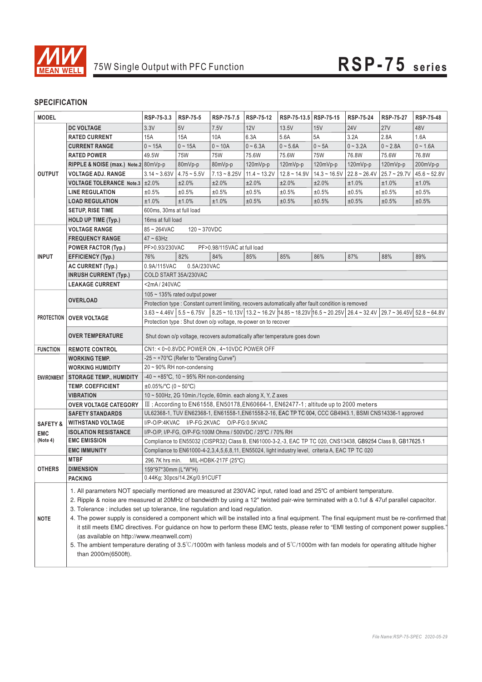

### **SPECIFICATION**

| <b>MODEL</b>        |                                                                                                                                                                                                                                                                                                                                                                                                                                                                                                                                                                                                                                                                                                                                                                                                                                                           | RSP-75-3.3                                                                                                                             | <b>RSP-75-5</b>               | RSP-75-7.5           | RSP-75-12                                                                                            | RSP-75-13.5 RSP-75-15 |                | RSP-75-24      | <b>RSP-75-27</b> | RSP-75-48      |  |  |  |
|---------------------|-----------------------------------------------------------------------------------------------------------------------------------------------------------------------------------------------------------------------------------------------------------------------------------------------------------------------------------------------------------------------------------------------------------------------------------------------------------------------------------------------------------------------------------------------------------------------------------------------------------------------------------------------------------------------------------------------------------------------------------------------------------------------------------------------------------------------------------------------------------|----------------------------------------------------------------------------------------------------------------------------------------|-------------------------------|----------------------|------------------------------------------------------------------------------------------------------|-----------------------|----------------|----------------|------------------|----------------|--|--|--|
|                     | <b>DC VOLTAGE</b>                                                                                                                                                                                                                                                                                                                                                                                                                                                                                                                                                                                                                                                                                                                                                                                                                                         | 3.3V                                                                                                                                   | 5V                            | 7.5V                 | 12V                                                                                                  | 13.5V                 | 15V            | <b>24V</b>     | <b>27V</b>       | 48V            |  |  |  |
| <b>OUTPUT</b>       | <b>RATED CURRENT</b>                                                                                                                                                                                                                                                                                                                                                                                                                                                                                                                                                                                                                                                                                                                                                                                                                                      | 15A                                                                                                                                    | 15A                           | 10A                  | 6.3A                                                                                                 | 5.6A                  | 5A             | 3.2A           | 2.8A             | 1.6A           |  |  |  |
|                     | <b>CURRENT RANGE</b>                                                                                                                                                                                                                                                                                                                                                                                                                                                                                                                                                                                                                                                                                                                                                                                                                                      | $0 - 15A$                                                                                                                              | $0 - 15A$                     | $0 - 10A$            | $0 - 6.3A$                                                                                           | $0 - 5.6A$            | $0 \sim 5A$    | $0 - 3.2A$     | $0 - 2.8A$       | $0 - 1.6A$     |  |  |  |
|                     | <b>RATED POWER</b>                                                                                                                                                                                                                                                                                                                                                                                                                                                                                                                                                                                                                                                                                                                                                                                                                                        | 49.5W                                                                                                                                  | <b>75W</b>                    | <b>75W</b>           | 75.6W                                                                                                | 75.6W                 | <b>75W</b>     | 76.8W          | 75.6W            | 76.8W          |  |  |  |
|                     | RIPPLE & NOISE (max.) Note.2 80mVp-p                                                                                                                                                                                                                                                                                                                                                                                                                                                                                                                                                                                                                                                                                                                                                                                                                      |                                                                                                                                        | 80mVp-p                       | 80mVp-p              | 120mVp-p                                                                                             | 120mVp-p              | $120mVp-p$     | $120mVp-p$     | $120mVp-p$       | 200mVp-p       |  |  |  |
|                     | <b>VOLTAGE ADJ. RANGE</b>                                                                                                                                                                                                                                                                                                                                                                                                                                                                                                                                                                                                                                                                                                                                                                                                                                 | $3.14 - 3.63V$                                                                                                                         | $4.75 - 5.5V$                 |                      | $7.13 \approx 8.25V$   11.4 $\approx 13.2V$                                                          | $12.8 - 14.9V$        | $14.3 - 16.5V$ | $22.8 - 26.4V$ | $25.7 - 29.7V$   | $45.6 - 52.8V$ |  |  |  |
|                     | <b>VOLTAGE TOLERANCE Note.3</b>                                                                                                                                                                                                                                                                                                                                                                                                                                                                                                                                                                                                                                                                                                                                                                                                                           | ±2.0%                                                                                                                                  | ±2.0%                         | ±2.0%                | ±2.0%                                                                                                | ±2.0%                 | ±2.0%          | ±1.0%          | ±1.0%            | ±1.0%          |  |  |  |
|                     | <b>LINE REGULATION</b>                                                                                                                                                                                                                                                                                                                                                                                                                                                                                                                                                                                                                                                                                                                                                                                                                                    | ±0.5%                                                                                                                                  | ±0.5%                         | ±0.5%                | ±0.5%                                                                                                | ±0.5%                 | ±0.5%          | ±0.5%          | ±0.5%            | ±0.5%          |  |  |  |
|                     | <b>LOAD REGULATION</b>                                                                                                                                                                                                                                                                                                                                                                                                                                                                                                                                                                                                                                                                                                                                                                                                                                    | ±1.0%                                                                                                                                  | ±1.0%                         | ±1.0%                | ±0.5%                                                                                                | ±0.5%                 | ±0.5%          | ±0.5%          | ±0.5%            | ±0.5%          |  |  |  |
|                     | <b>SETUP, RISE TIME</b>                                                                                                                                                                                                                                                                                                                                                                                                                                                                                                                                                                                                                                                                                                                                                                                                                                   | 600ms. 30ms at full load                                                                                                               |                               |                      |                                                                                                      |                       |                |                |                  |                |  |  |  |
|                     | <b>HOLD UP TIME (Typ.)</b>                                                                                                                                                                                                                                                                                                                                                                                                                                                                                                                                                                                                                                                                                                                                                                                                                                | 16ms at full load                                                                                                                      |                               |                      |                                                                                                      |                       |                |                |                  |                |  |  |  |
|                     | <b>VOLTAGE RANGE</b>                                                                                                                                                                                                                                                                                                                                                                                                                                                                                                                                                                                                                                                                                                                                                                                                                                      | $85 - 264$ VAC<br>$120 - 370VDC$                                                                                                       |                               |                      |                                                                                                      |                       |                |                |                  |                |  |  |  |
|                     | <b>FREQUENCY RANGE</b>                                                                                                                                                                                                                                                                                                                                                                                                                                                                                                                                                                                                                                                                                                                                                                                                                                    | $47 - 63$ Hz                                                                                                                           |                               |                      |                                                                                                      |                       |                |                |                  |                |  |  |  |
|                     | <b>POWER FACTOR (Typ.)</b>                                                                                                                                                                                                                                                                                                                                                                                                                                                                                                                                                                                                                                                                                                                                                                                                                                | PF>0.93/230VAC<br>PF>0.98/115VAC at full load                                                                                          |                               |                      |                                                                                                      |                       |                |                |                  |                |  |  |  |
| <b>INPUT</b>        | <b>EFFICIENCY (Typ.)</b>                                                                                                                                                                                                                                                                                                                                                                                                                                                                                                                                                                                                                                                                                                                                                                                                                                  | 76%                                                                                                                                    | 82%                           | 84%                  | 85%                                                                                                  | 85%                   | 86%            | 87%            | 88%              | 89%            |  |  |  |
|                     | <b>AC CURRENT (Typ.)</b>                                                                                                                                                                                                                                                                                                                                                                                                                                                                                                                                                                                                                                                                                                                                                                                                                                  | 0.9A/115VAC<br>0.5A/230VAC                                                                                                             |                               |                      |                                                                                                      |                       |                |                |                  |                |  |  |  |
|                     | <b>INRUSH CURRENT (Typ.)</b>                                                                                                                                                                                                                                                                                                                                                                                                                                                                                                                                                                                                                                                                                                                                                                                                                              | COLD START 35A/230VAC                                                                                                                  |                               |                      |                                                                                                      |                       |                |                |                  |                |  |  |  |
|                     | <b>LEAKAGE CURRENT</b>                                                                                                                                                                                                                                                                                                                                                                                                                                                                                                                                                                                                                                                                                                                                                                                                                                    | <2mA / 240VAC                                                                                                                          |                               |                      |                                                                                                      |                       |                |                |                  |                |  |  |  |
|                     |                                                                                                                                                                                                                                                                                                                                                                                                                                                                                                                                                                                                                                                                                                                                                                                                                                                           | 105 $\sim$ 135% rated output power                                                                                                     |                               |                      |                                                                                                      |                       |                |                |                  |                |  |  |  |
|                     | <b>OVERLOAD</b>                                                                                                                                                                                                                                                                                                                                                                                                                                                                                                                                                                                                                                                                                                                                                                                                                                           |                                                                                                                                        |                               |                      | Protection type : Constant current limiting, recovers automatically after fault condition is removed |                       |                |                |                  |                |  |  |  |
|                     | <b>PROTECTION   OVER VOLTAGE</b>                                                                                                                                                                                                                                                                                                                                                                                                                                                                                                                                                                                                                                                                                                                                                                                                                          | $ 8.25 \times 10.13V $ 13.2 ~ 16.2V 14.85 ~ 18.23V 16.5 ~ 20.25V 26.4 ~ 32.4V 29.7 ~ 36.45V 52.8 ~ 64.8V<br>$3.63 - 4.46V$ 5.5 ~ 6.75V |                               |                      |                                                                                                      |                       |                |                |                  |                |  |  |  |
|                     |                                                                                                                                                                                                                                                                                                                                                                                                                                                                                                                                                                                                                                                                                                                                                                                                                                                           |                                                                                                                                        |                               |                      | Protection type: Shut down o/p voltage, re-power on to recover                                       |                       |                |                |                  |                |  |  |  |
|                     | <b>OVER TEMPERATURE</b>                                                                                                                                                                                                                                                                                                                                                                                                                                                                                                                                                                                                                                                                                                                                                                                                                                   | Shut down o/p voltage, recovers automatically after temperature goes down                                                              |                               |                      |                                                                                                      |                       |                |                |                  |                |  |  |  |
| <b>FUNCTION</b>     | <b>REMOTE CONTROL</b>                                                                                                                                                                                                                                                                                                                                                                                                                                                                                                                                                                                                                                                                                                                                                                                                                                     | CN1: < 0~0.8VDC POWER ON, 4~10VDC POWER OFF                                                                                            |                               |                      |                                                                                                      |                       |                |                |                  |                |  |  |  |
|                     | <b>WORKING TEMP.</b>                                                                                                                                                                                                                                                                                                                                                                                                                                                                                                                                                                                                                                                                                                                                                                                                                                      | -25 ~ +70°C (Refer to "Derating Curve")                                                                                                |                               |                      |                                                                                                      |                       |                |                |                  |                |  |  |  |
|                     | <b>WORKING HUMIDITY</b>                                                                                                                                                                                                                                                                                                                                                                                                                                                                                                                                                                                                                                                                                                                                                                                                                                   | $20 \sim 90\%$ RH non-condensing                                                                                                       |                               |                      |                                                                                                      |                       |                |                |                  |                |  |  |  |
| <b>ENVIRONMENT</b>  | <b>STORAGE TEMP., HUMIDITY</b>                                                                                                                                                                                                                                                                                                                                                                                                                                                                                                                                                                                                                                                                                                                                                                                                                            | $-40 \sim +85^{\circ}$ C, 10 ~ 95% RH non-condensing<br>$\pm 0.05\%$ /°C (0 ~ 50°C)                                                    |                               |                      |                                                                                                      |                       |                |                |                  |                |  |  |  |
|                     | <b>TEMP. COEFFICIENT</b>                                                                                                                                                                                                                                                                                                                                                                                                                                                                                                                                                                                                                                                                                                                                                                                                                                  |                                                                                                                                        |                               |                      |                                                                                                      |                       |                |                |                  |                |  |  |  |
|                     | <b>VIBRATION</b>                                                                                                                                                                                                                                                                                                                                                                                                                                                                                                                                                                                                                                                                                                                                                                                                                                          |                                                                                                                                        |                               |                      | 10 ~ 500Hz, 2G 10min./1cycle, 60min. each along X, Y, Z axes                                         |                       |                |                |                  |                |  |  |  |
|                     | <b>OVER VOLTAGE CATEGORY</b>                                                                                                                                                                                                                                                                                                                                                                                                                                                                                                                                                                                                                                                                                                                                                                                                                              |                                                                                                                                        |                               |                      | III ; According to EN61558, EN50178, EN60664-1, EN62477-1; altitude up to 2000 meters                |                       |                |                |                  |                |  |  |  |
|                     | <b>SAFETY STANDARDS</b>                                                                                                                                                                                                                                                                                                                                                                                                                                                                                                                                                                                                                                                                                                                                                                                                                                   | UL62368-1, TUV EN62368-1, EN61558-1, EN61558-2-16, EAC TP TC 004, CCC GB4943.1, BSMI CNS14336-1 approved                               |                               |                      |                                                                                                      |                       |                |                |                  |                |  |  |  |
| <b>SAFETY &amp;</b> | <b>WITHSTAND VOLTAGE</b>                                                                                                                                                                                                                                                                                                                                                                                                                                                                                                                                                                                                                                                                                                                                                                                                                                  | I/P-O/P:4KVAC I/P-FG:2KVAC O/P-FG:0.5KVAC                                                                                              |                               |                      |                                                                                                      |                       |                |                |                  |                |  |  |  |
| <b>EMC</b>          | <b>ISOLATION RESISTANCE</b>                                                                                                                                                                                                                                                                                                                                                                                                                                                                                                                                                                                                                                                                                                                                                                                                                               |                                                                                                                                        |                               |                      | I/P-O/P, I/P-FG, O/P-FG:100M Ohms / 500VDC / 25°C / 70% RH                                           |                       |                |                |                  |                |  |  |  |
| (Note 4)            | <b>EMC EMISSION</b>                                                                                                                                                                                                                                                                                                                                                                                                                                                                                                                                                                                                                                                                                                                                                                                                                                       | Compliance to EN55032 (CISPR32) Class B, EN61000-3-2,-3, EAC TP TC 020, CNS13438, GB9254 Class B, GB17625.1                            |                               |                      |                                                                                                      |                       |                |                |                  |                |  |  |  |
|                     | <b>EMC IMMUNITY</b>                                                                                                                                                                                                                                                                                                                                                                                                                                                                                                                                                                                                                                                                                                                                                                                                                                       |                                                                                                                                        |                               |                      | Compliance to EN61000-4-2,3,4,5,6,8,11, EN55024, light industry level, criteria A, EAC TP TC 020     |                       |                |                |                  |                |  |  |  |
|                     | <b>MTBF</b>                                                                                                                                                                                                                                                                                                                                                                                                                                                                                                                                                                                                                                                                                                                                                                                                                                               | 296.7K hrs min.                                                                                                                        |                               | MIL-HDBK-217F (25°C) |                                                                                                      |                       |                |                |                  |                |  |  |  |
| <b>OTHERS</b>       | <b>DIMENSION</b>                                                                                                                                                                                                                                                                                                                                                                                                                                                                                                                                                                                                                                                                                                                                                                                                                                          | 159*97*30mm (L*W*H)                                                                                                                    |                               |                      |                                                                                                      |                       |                |                |                  |                |  |  |  |
|                     | <b>PACKING</b>                                                                                                                                                                                                                                                                                                                                                                                                                                                                                                                                                                                                                                                                                                                                                                                                                                            |                                                                                                                                        | 0.44Kg; 30pcs/14.2Kg/0.91CUFT |                      |                                                                                                      |                       |                |                |                  |                |  |  |  |
| <b>NOTE</b>         | 1. All parameters NOT specially mentioned are measured at 230VAC input, rated load and 25°C of ambient temperature.<br>2. Ripple & noise are measured at 20MHz of bandwidth by using a 12" twisted pair-wire terminated with a 0.1uf & 47uf parallel capacitor.<br>3. Tolerance: includes set up tolerance, line regulation and load regulation.<br>4. The power supply is considered a component which will be installed into a final equipment. The final equipment must be re-confirmed that<br>it still meets EMC directives. For guidance on how to perform these EMC tests, please refer to "EMI testing of component power supplies."<br>(as available on http://www.meanwell.com)<br>5. The ambient temperature derating of 3.5°C/1000m with fanless models and of 5°C/1000m with fan models for operating altitude higher<br>than 2000m(6500ft). |                                                                                                                                        |                               |                      |                                                                                                      |                       |                |                |                  |                |  |  |  |